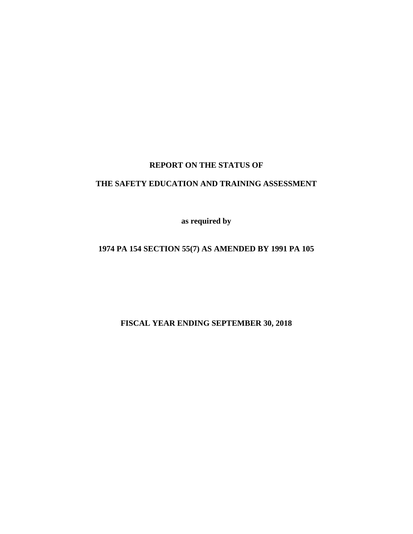#### **REPORT ON THE STATUS OF**

### **THE SAFETY EDUCATION AND TRAINING ASSESSMENT**

**as required by**

# **1974 PA 154 SECTION 55(7) AS AMENDED BY 1991 PA 105**

**FISCAL YEAR ENDING SEPTEMBER 30, 2018**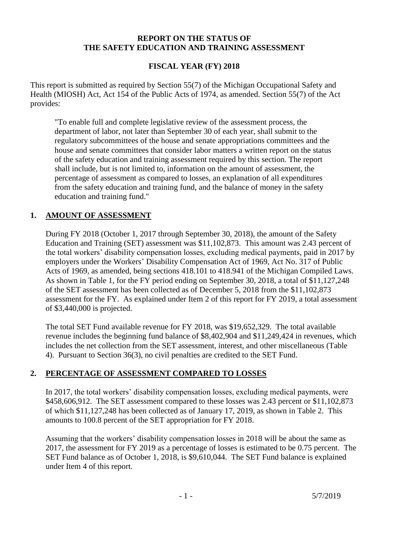#### **REPORT ON THE STATUS OF THE SAFETY EDUCATION AND TRAINING ASSESSMENT**

### **FISCAL YEAR (FY) 2018**

This report is submitted as required by Section 55(7) of the Michigan Occupational Safety and Health (MIOSH) Act, Act 154 of the Public Acts of 1974, as amended. Section 55(7) of the Act provides:

"To enable full and complete legislative review of the assessment process, the department of labor, not later than September 30 of each year, shall submit to the regulatory subcommittees of the house and senate appropriations committees and the house and senate committees that consider labor matters a written report on the status of the safety education and training assessment required by this section. The report shall include, but is not limited to, information on the amount of assessment, the percentage of assessment as compared to losses, an explanation of all expenditures from the safety education and training fund, and the balance of money in the safety education and training fund."

#### **1. AMOUNT OF ASSESSMENT**

During FY 2018 (October 1, 2017 through September 30, 2018), the amount of the Safety Education and Training (SET) assessment was \$11,102,873. This amount was 2.43 percent of the total workers' disability compensation losses, excluding medical payments, paid in 2017 by employers under the Workers' Disability Compensation Act of 1969, Act No. 317 of Public Acts of 1969, as amended, being sections 418.101 to 418.941 of the Michigan Compiled Laws. As shown in Table 1, for the FY period ending on September 30, 2018, a total of \$11,127,248 of the SET assessment has been collected as of December 5, 2018 from the \$11,102,873 assessment for the FY. As explained under Item 2 of this report for FY 2019, a total assessment of \$3,440,000 is projected.

The total SET Fund available revenue for FY 2018, was \$19,652,329. The total available revenue includes the beginning fund balance of \$8,402,904 and \$11,249,424 in revenues, which includes the net collection from the SET assessment, interest, and other miscellaneous (Table 4). Pursuant to Section 36(3), no civil penalties are credited to the SET Fund.

#### **2. PERCENTAGE OF ASSESSMENT COMPARED TO LOSSES**

In 2017, the total workers' disability compensation losses, excluding medical payments, were \$458,606,912. The SET assessment compared to these losses was 2.43 percent or \$11,102,873 of which \$11,127,248 has been collected as of January 17, 2019, as shown in Table 2. This amounts to 100.8 percent of the SET appropriation for FY 2018.

Assuming that the workers' disability compensation losses in 2018 will be about the same as 2017, the assessment for FY 2019 as a percentage of losses is estimated to be 0.75 percent. The SET Fund balance as of October 1, 2018, is \$9,610,044. The SET Fund balance is explained under Item 4 of this report.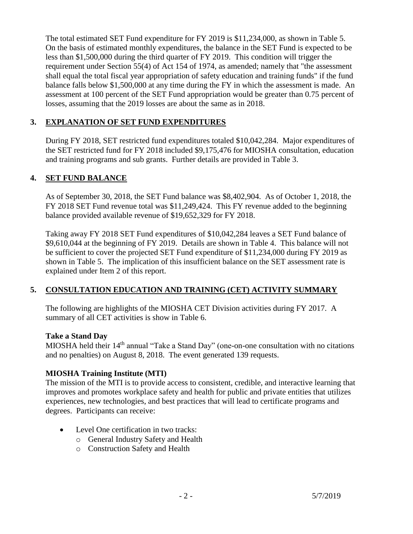The total estimated SET Fund expenditure for FY 2019 is \$11,234,000, as shown in Table 5. On the basis of estimated monthly expenditures, the balance in the SET Fund is expected to be less than \$1,500,000 during the third quarter of FY 2019. This condition will trigger the requirement under Section 55(4) of Act 154 of 1974, as amended; namely that "the assessment shall equal the total fiscal year appropriation of safety education and training funds" if the fund balance falls below \$1,500,000 at any time during the FY in which the assessment is made. An assessment at 100 percent of the SET Fund appropriation would be greater than 0.75 percent of losses, assuming that the 2019 losses are about the same as in 2018.

# **3. EXPLANATION OF SET FUND EXPENDITURES**

During FY 2018, SET restricted fund expenditures totaled \$10,042,284. Major expenditures of the SET restricted fund for FY 2018 included \$9,175,476 for MIOSHA consultation, education and training programs and sub grants. Further details are provided in Table 3.

# **4. SET FUND BALANCE**

As of September 30, 2018, the SET Fund balance was \$8,402,904. As of October 1, 2018, the FY 2018 SET Fund revenue total was \$11,249,424. This FY revenue added to the beginning balance provided available revenue of \$19,652,329 for FY 2018.

Taking away FY 2018 SET Fund expenditures of \$10,042,284 leaves a SET Fund balance of \$9,610,044 at the beginning of FY 2019. Details are shown in Table 4. This balance will not be sufficient to cover the projected SET Fund expenditure of \$11,234,000 during FY 2019 as shown in Table 5. The implication of this insufficient balance on the SET assessment rate is explained under Item 2 of this report.

# **5. CONSULTATION EDUCATION AND TRAINING (CET) ACTIVITY SUMMARY**

The following are highlights of the MIOSHA CET Division activities during FY 2017. A summary of all CET activities is show in Table 6.

#### **Take a Stand Day**

MIOSHA held their 14<sup>th</sup> annual "Take a Stand Day" (one-on-one consultation with no citations and no penalties) on August 8, 2018. The event generated 139 requests.

#### **MIOSHA Training Institute (MTI)**

The mission of the MTI is to provide access to consistent, credible, and interactive learning that improves and promotes workplace safety and health for public and private entities that utilizes experiences, new technologies, and best practices that will lead to certificate programs and degrees. Participants can receive:

- Level One certification in two tracks:
	- o General Industry Safety and Health
	- o Construction Safety and Health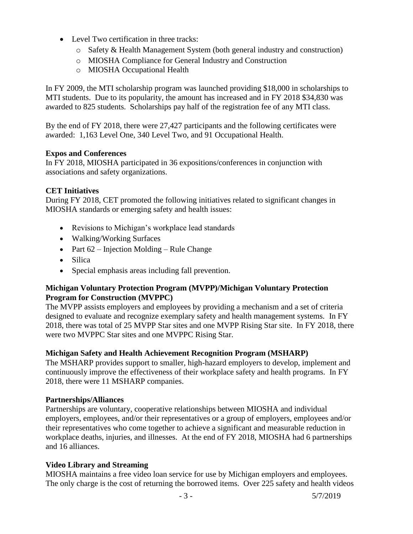- Level Two certification in three tracks:
	- o Safety & Health Management System (both general industry and construction)
	- o MIOSHA Compliance for General Industry and Construction
	- o MIOSHA Occupational Health

In FY 2009, the MTI scholarship program was launched providing \$18,000 in scholarships to MTI students. Due to its popularity, the amount has increased and in FY 2018 \$34,830 was awarded to 825 students. Scholarships pay half of the registration fee of any MTI class.

By the end of FY 2018, there were 27,427 participants and the following certificates were awarded: 1,163 Level One, 340 Level Two, and 91 Occupational Health.

#### **Expos and Conferences**

In FY 2018, MIOSHA participated in 36 expositions/conferences in conjunction with associations and safety organizations.

#### **CET Initiatives**

During FY 2018, CET promoted the following initiatives related to significant changes in MIOSHA standards or emerging safety and health issues:

- Revisions to Michigan's workplace lead standards
- Walking/Working Surfaces
- Part  $62$  Injection Molding Rule Change
- Silica
- Special emphasis areas including fall prevention.

#### **Michigan Voluntary Protection Program (MVPP)/Michigan Voluntary Protection Program for Construction (MVPPC)**

The MVPP assists employers and employees by providing a mechanism and a set of criteria designed to evaluate and recognize exemplary safety and health management systems. In FY 2018, there was total of 25 MVPP Star sites and one MVPP Rising Star site. In FY 2018, there were two MVPPC Star sites and one MVPPC Rising Star.

#### **Michigan Safety and Health Achievement Recognition Program (MSHARP)**

The MSHARP provides support to smaller, high-hazard employers to develop, implement and continuously improve the effectiveness of their workplace safety and health programs. In FY 2018, there were 11 MSHARP companies.

#### **Partnerships/Alliances**

Partnerships are voluntary, cooperative relationships between MIOSHA and individual employers, employees, and/or their representatives or a group of employers, employees and/or their representatives who come together to achieve a significant and measurable reduction in workplace deaths, injuries, and illnesses. At the end of FY 2018, MIOSHA had 6 partnerships and 16 alliances.

#### **Video Library and Streaming**

MIOSHA maintains a free video loan service for use by Michigan employers and employees. The only charge is the cost of returning the borrowed items. Over 225 safety and health videos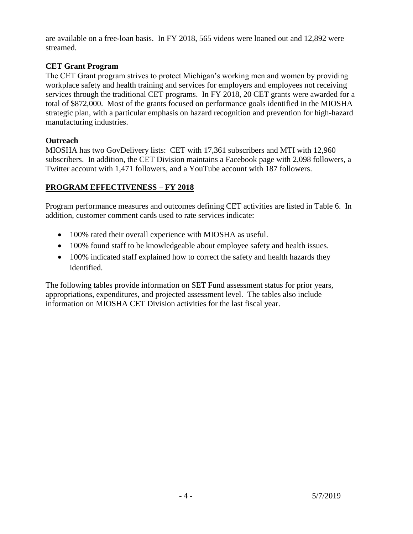are available on a free-loan basis. In FY 2018, 565 videos were loaned out and 12,892 were streamed.

#### **CET Grant Program**

The CET Grant program strives to protect Michigan's working men and women by providing workplace safety and health training and services for employers and employees not receiving services through the traditional CET programs. In FY 2018, 20 CET grants were awarded for a total of \$872,000. Most of the grants focused on performance goals identified in the MIOSHA strategic plan, with a particular emphasis on hazard recognition and prevention for high-hazard manufacturing industries.

### **Outreach**

MIOSHA has two GovDelivery lists: CET with 17,361 subscribers and MTI with 12,960 subscribers. In addition, the CET Division maintains a Facebook page with 2,098 followers, a Twitter account with 1,471 followers, and a YouTube account with 187 followers.

# **PROGRAM EFFECTIVENESS – FY 2018**

Program performance measures and outcomes defining CET activities are listed in Table 6. In addition, customer comment cards used to rate services indicate:

- 100% rated their overall experience with MIOSHA as useful.
- 100% found staff to be knowledgeable about employee safety and health issues.
- 100% indicated staff explained how to correct the safety and health hazards they identified.

The following tables provide information on SET Fund assessment status for prior years, appropriations, expenditures, and projected assessment level. The tables also include information on MIOSHA CET Division activities for the last fiscal year.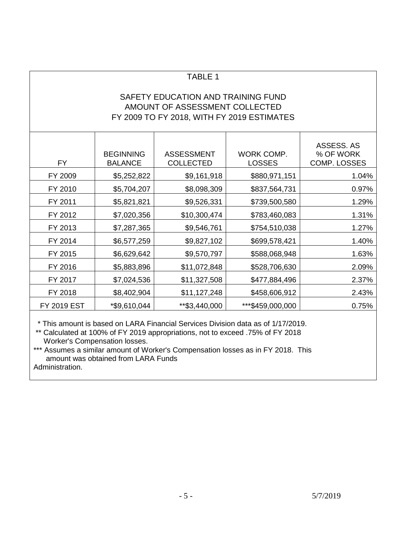# SAFETY EDUCATION AND TRAINING FUND AMOUNT OF ASSESSMENT COLLECTED FY 2009 TO FY 2018, WITH FY 2019 ESTIMATES

| <b>FY</b>          | <b>BEGINNING</b><br><b>BALANCE</b> | <b>ASSESSMENT</b><br><b>COLLECTED</b> | WORK COMP.<br><b>LOSSES</b> | ASSESS. AS<br>% OF WORK<br>COMP. LOSSES |
|--------------------|------------------------------------|---------------------------------------|-----------------------------|-----------------------------------------|
| FY 2009            | \$5,252,822                        | \$9,161,918                           | \$880,971,151               | 1.04%                                   |
| FY 2010            | \$5,704,207                        | \$8,098,309                           | \$837,564,731               | 0.97%                                   |
| FY 2011            | \$5,821,821                        | \$9,526,331                           | \$739,500,580               | 1.29%                                   |
| FY 2012            | \$7,020,356                        | \$10,300,474                          | \$783,460,083               | 1.31%                                   |
| FY 2013            | \$7,287,365                        | \$9,546,761                           | \$754,510,038               | 1.27%                                   |
| FY 2014            | \$6,577,259                        | \$9,827,102                           | \$699,578,421               | 1.40%                                   |
| FY 2015            | \$6,629,642                        | \$9,570,797                           | \$588,068,948               | 1.63%                                   |
| FY 2016            | \$5,883,896                        | \$11,072,848                          | \$528,706,630               | 2.09%                                   |
| FY 2017            | \$7,024,536                        | \$11,327,508                          | \$477,884,496               | 2.37%                                   |
| FY 2018            | \$8,402,904                        | \$11,127,248                          | \$458,606,912               | 2.43%                                   |
| <b>FY 2019 EST</b> | *\$9,610,044                       | **\$3,440,000                         | ***\$459,000,000            | 0.75%                                   |

\* This amount is based on LARA Financial Services Division data as of 1/17/2019.

\*\* Calculated at 100% of FY 2019 appropriations, not to exceed .75% of FY 2018 Worker's Compensation losses.

\*\*\* Assumes a similar amount of Worker's Compensation losses as in FY 2018. This amount was obtained from LARA Funds Administration.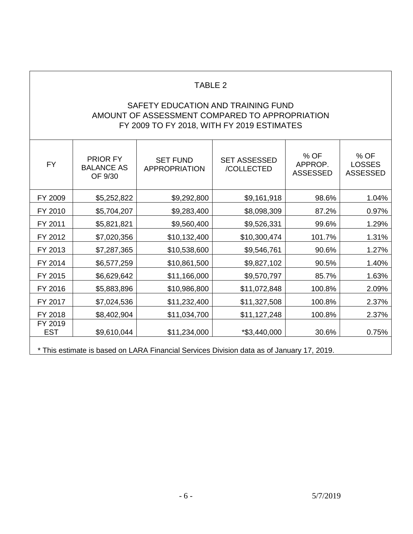# SAFETY EDUCATION AND TRAINING FUND AMOUNT OF ASSESSMENT COMPARED TO APPROPRIATION FY 2009 TO FY 2018, WITH FY 2019 ESTIMATES

| <b>FY</b>             | <b>PRIOR FY</b><br><b>BALANCE AS</b><br>OF 9/30                                           | <b>SET FUND</b><br><b>APPROPRIATION</b> | <b>SET ASSESSED</b><br>/COLLECTED | % OF<br>APPROP.<br><b>ASSESSED</b> | % OF<br><b>LOSSES</b><br><b>ASSESSED</b> |
|-----------------------|-------------------------------------------------------------------------------------------|-----------------------------------------|-----------------------------------|------------------------------------|------------------------------------------|
| FY 2009               | \$5,252,822                                                                               | \$9,292,800                             | \$9,161,918                       | 98.6%                              | 1.04%                                    |
| FY 2010               | \$5,704,207                                                                               | \$9,283,400                             | \$8,098,309                       | 87.2%                              | 0.97%                                    |
| FY 2011               | \$5,821,821                                                                               | \$9,560,400                             | \$9,526,331                       | 99.6%                              | 1.29%                                    |
| FY 2012               | \$7,020,356                                                                               | \$10,132,400                            | \$10,300,474                      | 101.7%                             | 1.31%                                    |
| FY 2013               | \$7,287,365                                                                               | \$10,538,600                            | \$9,546,761                       | 90.6%                              | 1.27%                                    |
| FY 2014               | \$6,577,259                                                                               | \$10,861,500                            | \$9,827,102                       | 90.5%                              | 1.40%                                    |
| FY 2015               | \$6,629,642                                                                               | \$11,166,000                            | \$9,570,797                       | 85.7%                              | 1.63%                                    |
| FY 2016               | \$5,883,896                                                                               | \$10,986,800                            | \$11,072,848                      | 100.8%                             | 2.09%                                    |
| FY 2017               | \$7,024,536                                                                               | \$11,232,400                            | \$11,327,508                      | 100.8%                             | 2.37%                                    |
| FY 2018               | \$8,402,904                                                                               | \$11,034,700                            | \$11,127,248                      | 100.8%                             | 2.37%                                    |
| FY 2019<br><b>EST</b> | \$9,610,044                                                                               | \$11,234,000                            | *\$3,440,000                      | 30.6%                              | 0.75%                                    |
|                       | * This estimate is based on LARA Financial Services Division data as of January 17, 2019. |                                         |                                   |                                    |                                          |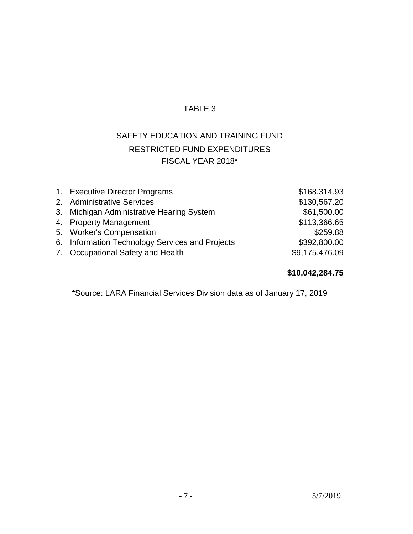# SAFETY EDUCATION AND TRAINING FUND RESTRICTED FUND EXPENDITURES FISCAL YEAR 2018\*

| 1. Executive Director Programs                  | \$168,314.93   |
|-------------------------------------------------|----------------|
| 2. Administrative Services                      | \$130,567.20   |
| 3. Michigan Administrative Hearing System       | \$61,500.00    |
| 4. Property Management                          | \$113,366.65   |
| 5. Worker's Compensation                        | \$259.88       |
| 6. Information Technology Services and Projects | \$392,800.00   |
| 7. Occupational Safety and Health               | \$9,175,476.09 |

# **\$10,042,284.75**

\*Source: LARA Financial Services Division data as of January 17, 2019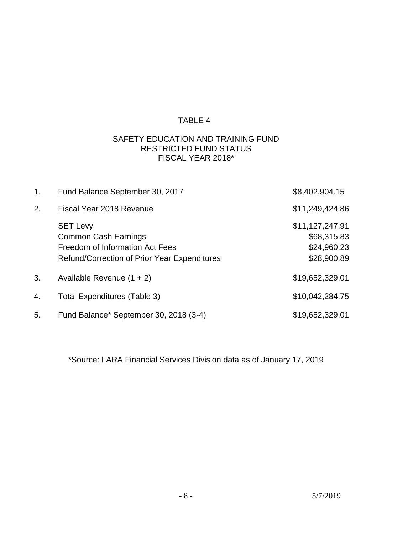### SAFETY EDUCATION AND TRAINING FUND RESTRICTED FUND STATUS FISCAL YEAR 2018\*

| 1. | Fund Balance September 30, 2017                                                                                                   | \$8,402,904.15                                               |
|----|-----------------------------------------------------------------------------------------------------------------------------------|--------------------------------------------------------------|
| 2. | Fiscal Year 2018 Revenue                                                                                                          | \$11,249,424.86                                              |
|    | <b>SET Levy</b><br><b>Common Cash Earnings</b><br>Freedom of Information Act Fees<br>Refund/Correction of Prior Year Expenditures | \$11,127,247.91<br>\$68,315.83<br>\$24,960.23<br>\$28,900.89 |
| 3. | Available Revenue $(1 + 2)$                                                                                                       | \$19,652,329.01                                              |
| 4. | <b>Total Expenditures (Table 3)</b>                                                                                               | \$10,042,284.75                                              |
| 5. | Fund Balance* September 30, 2018 (3-4)                                                                                            | \$19,652,329.01                                              |

\*Source: LARA Financial Services Division data as of January 17, 2019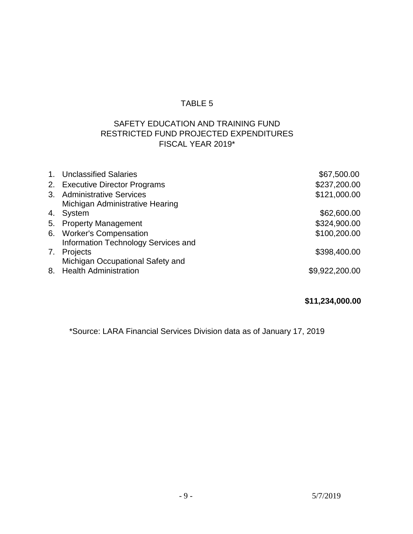# SAFETY EDUCATION AND TRAINING FUND RESTRICTED FUND PROJECTED EXPENDITURES FISCAL YEAR 2019\*

| 1. Unclassified Salaries            | \$67,500.00    |
|-------------------------------------|----------------|
| 2. Executive Director Programs      | \$237,200.00   |
| 3. Administrative Services          | \$121,000.00   |
| Michigan Administrative Hearing     |                |
| 4. System                           | \$62,600.00    |
| 5. Property Management              | \$324,900.00   |
| 6. Worker's Compensation            | \$100,200.00   |
| Information Technology Services and |                |
| 7. Projects                         | \$398,400.00   |
| Michigan Occupational Safety and    |                |
| 8. Health Administration            | \$9,922,200.00 |
|                                     |                |

# **\$11,234,000.00**

\*Source: LARA Financial Services Division data as of January 17, 2019